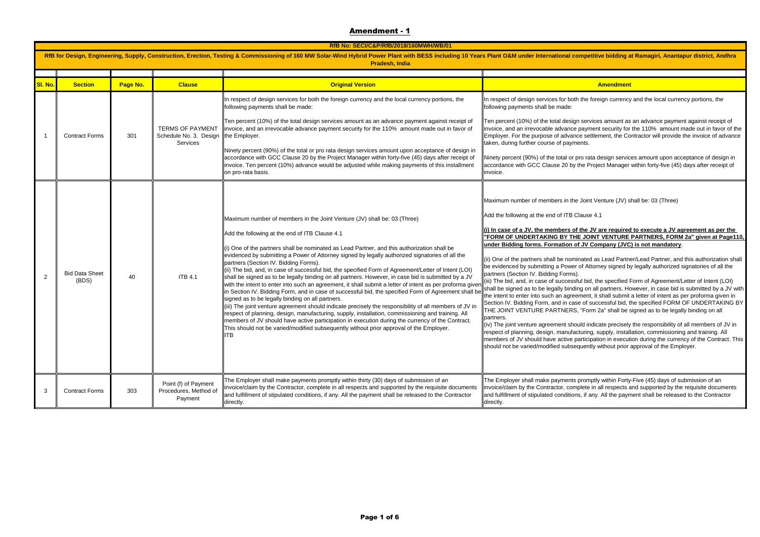|         | RfB No: SECI/C&P/RfB/2018/160MWH/WB/01 |          |                                                          |                                                                                                                                                                                                                                                                                                                                                                                                                                                                                                                                                                                                                                                                                                                                                                                                                                                                                                                                                                                                                                                                                                                                                                                                                                                                                 |                                                                                                                                                                                                                                                                                                                                                                                                                                                                                                                                                                                                                                                                                                                                                                                                                                                                                                                                                                                                                                  |
|---------|----------------------------------------|----------|----------------------------------------------------------|---------------------------------------------------------------------------------------------------------------------------------------------------------------------------------------------------------------------------------------------------------------------------------------------------------------------------------------------------------------------------------------------------------------------------------------------------------------------------------------------------------------------------------------------------------------------------------------------------------------------------------------------------------------------------------------------------------------------------------------------------------------------------------------------------------------------------------------------------------------------------------------------------------------------------------------------------------------------------------------------------------------------------------------------------------------------------------------------------------------------------------------------------------------------------------------------------------------------------------------------------------------------------------|----------------------------------------------------------------------------------------------------------------------------------------------------------------------------------------------------------------------------------------------------------------------------------------------------------------------------------------------------------------------------------------------------------------------------------------------------------------------------------------------------------------------------------------------------------------------------------------------------------------------------------------------------------------------------------------------------------------------------------------------------------------------------------------------------------------------------------------------------------------------------------------------------------------------------------------------------------------------------------------------------------------------------------|
|         |                                        |          |                                                          | RfB for Design, Engineering, Supply, Construction, Erection, Testing & Commissioning of 160 MW Solar-Wind Hybrid Power Plant with BESS including 10 Years Plant O&M under International competitive bidding a<br><b>Pradesh, India</b>                                                                                                                                                                                                                                                                                                                                                                                                                                                                                                                                                                                                                                                                                                                                                                                                                                                                                                                                                                                                                                          |                                                                                                                                                                                                                                                                                                                                                                                                                                                                                                                                                                                                                                                                                                                                                                                                                                                                                                                                                                                                                                  |
| SI. No. | <b>Section</b>                         | Page No. | <b>Clause</b>                                            | <b>Original Version</b>                                                                                                                                                                                                                                                                                                                                                                                                                                                                                                                                                                                                                                                                                                                                                                                                                                                                                                                                                                                                                                                                                                                                                                                                                                                         | Amendment                                                                                                                                                                                                                                                                                                                                                                                                                                                                                                                                                                                                                                                                                                                                                                                                                                                                                                                                                                                                                        |
| 1       | <b>Contract Forms</b>                  | 301      | Schedule No. 3. Design the Employer.<br>Services         | In respect of design services for both the foreign currency and the local currency portions, the<br>following payments shall be made:<br>Ten percent (10%) of the total design services amount as an advance payment against receipt of<br>TERMS OF PAYMENT linvoice, and an irrevocable advance payment security for the 110% amount made out in favor of<br>Ninety percent (90%) of the total or pro rata design services amount upon acceptance of design in<br>accordance with GCC Clause 20 by the Project Manager within forty-five (45) days after receipt of<br>invoice. Ten percent (10%) advance would be adjusted while making payments of this installment<br>on pro-rata basis.                                                                                                                                                                                                                                                                                                                                                                                                                                                                                                                                                                                    | In respect of design services for both the foreign currency<br>following payments shall be made:<br>Ten percent (10%) of the total design services amount as<br>invoice, and an irrevocable advance payment security for<br>Employer. For the purpose of advance settlement, the Co<br>taken, during further course of payments.<br>Ninety percent (90%) of the total or pro rata design servic<br>accordance with GCC Clause 20 by the Project Manager<br>invoice.                                                                                                                                                                                                                                                                                                                                                                                                                                                                                                                                                              |
| 2       | <b>Bid Data Sheet</b><br>(BDS)         | 40       | <b>ITB 4.1</b>                                           | Maximum number of members in the Joint Venture (JV) shall be: 03 (Three)<br>Add the following at the end of ITB Clause 4.1<br>(i) One of the partners shall be nominated as Lead Partner, and this authorization shall be<br>evidenced by submitting a Power of Attorney signed by legally authorized signatories of all the<br>partners (Section IV. Bidding Forms).<br>(ii) The bid, and, in case of successful bid, the specified Form of Agreement/Letter of Intent (LOI)<br>shall be signed as to be legally binding on all partners. However, in case bid is submitted by a JV<br>with the intent to enter into such an agreement, it shall submit a letter of intent as per proforma given<br>in Section IV. Bidding Form, and in case of successful bid, the specified Form of Agreement shall be<br>signed as to be legally binding on all partners.<br>iii) The joint venture agreement should indicate precisely the responsibility of all members of JV in<br>espect of planning, design, manufacturing, supply, installation, commissioning and training. All<br>members of JV should have active participation in execution during the currency of the Contract.<br>This should not be varied/modified subsequently without prior approval of the Employer.<br>тв | Maximum number of members in the Joint Venture (JV) s<br>Add the following at the end of ITB Clause 4.1<br>(i) In case of a JV, the members of the JV are required<br><b>'FORM OF UNDERTAKING BY THE JOINT VENTURE</b><br>under Bidding forms. Formation of JV Company (JVC<br>(ii) One of the partners shall be nominated as Lead Partn<br>be evidenced by submitting a Power of Attorney signed b<br>partners (Section IV. Bidding Forms).<br>(iii) The bid, and, in case of successful bid, the specified I<br>shall be signed as to be legally binding on all partners. Ho<br>the intent to enter into such an agreement, it shall submit<br>Section IV. Bidding Form, and in case of successful bid, t<br>THE JOINT VENTURE PARTNERS, "Form 2a" shall be :<br>partners.<br>(iv) The joint venture agreement should indicate precisely<br>respect of planning, design, manufacturing, supply, instal<br>members of JV should have active participation in execut<br>should not be varied/modified subsequently without prior |
| 3       | <b>Contract Forms</b>                  | 303      | Point (f) of Payment<br>Procedures, Method of<br>Payment | The Employer shall make payments promptly within thirty (30) days of submission of an<br>invoice/claim by the Contractor, complete in all respects and supported by the requisite documents<br>and fulfillment of stipulated conditions, if any. All the payment shall be released to the Contractor<br>directly.                                                                                                                                                                                                                                                                                                                                                                                                                                                                                                                                                                                                                                                                                                                                                                                                                                                                                                                                                               | The Employer shall make payments promptly within Forty<br>invoice/claim by the Contractor, complete in all respects a<br>and fulfillment of stipulated conditions, if any. All the payn<br>directly.                                                                                                                                                                                                                                                                                                                                                                                                                                                                                                                                                                                                                                                                                                                                                                                                                             |

## ompetitive bidding at Ramagiri, Anantapur district, Andhra

th the foreign currency and the local currency portions, the

an services amount as an advance payment against receipt of payment security for the 110% amount made out in favor of the nce settlement, the Contractor will provide the invoice of advance nents.

pro rata design services amount upon acceptance of design in the Project Manager within forty-five (45) days after receipt of

e Joint Venture (JV) shall be: 03 (Three)

## of the JV are required to execute a JV agreement as per the **HE JOINT VENTURE PARTNERS, FORM 2a" given at Page110,** of JV Company (JVC) is not mandatory.

hinated as Lead Partner/Lead Partner, and this authorization shall of Attorney signed by legally authorized signatories of all the

sful bid, the specified Form of Agreement/Letter of Intent (LOI) ling on all partners. However, in case bid is submitted by a JV with ement, it shall submit a letter of intent as per proforma given in ase of successful bid, the specified FORM OF UNDERTAKING BY S, "Form 2a" shall be signed as to be legally binding on all

ould indicate precisely the responsibility of all members of JV in acturing, supply, installation, commissioning and training. All participation in execution during the currency of the Contract. This equently without prior approval of the Employer.

promptly within Forty-Five (45) days of submission of an mplete in all respects and supported by the requisite documents ns, if any. All the payment shall be released to the Contractor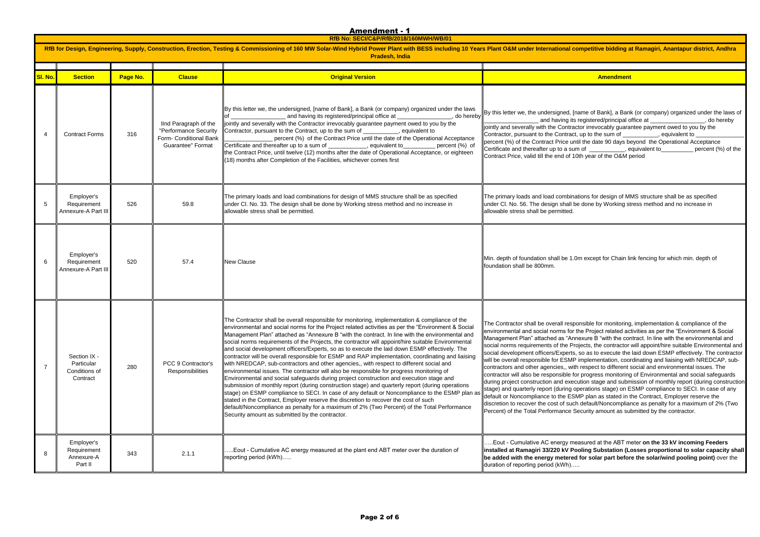**RfB No: SECI/C&P/RfB/2018/160MWH/WB/01**

| RfB for Design, Engineering, Supply, Construction, Erection, Testing & Commissioning of 160 MW Solar-Wind Hybrid Power Plant with BESS including 10 Years Plant O&M under International competitive bidding a<br><b>Pradesh, India</b> |                                                         |          |                                                                                               |                                                                                                                                                                                                                                                                                                                                                                                                                                                                                                                                                                                                                                                                                                                                                                                                                                                                                                                                                                                                                                                                                                                                                                                                                                                                                                                                                      |                                                                                                                                                                                                                                                                                                                                                                                                                                                                                                                                                                                                                                                                                                                                                                                                                      |
|----------------------------------------------------------------------------------------------------------------------------------------------------------------------------------------------------------------------------------------|---------------------------------------------------------|----------|-----------------------------------------------------------------------------------------------|------------------------------------------------------------------------------------------------------------------------------------------------------------------------------------------------------------------------------------------------------------------------------------------------------------------------------------------------------------------------------------------------------------------------------------------------------------------------------------------------------------------------------------------------------------------------------------------------------------------------------------------------------------------------------------------------------------------------------------------------------------------------------------------------------------------------------------------------------------------------------------------------------------------------------------------------------------------------------------------------------------------------------------------------------------------------------------------------------------------------------------------------------------------------------------------------------------------------------------------------------------------------------------------------------------------------------------------------------|----------------------------------------------------------------------------------------------------------------------------------------------------------------------------------------------------------------------------------------------------------------------------------------------------------------------------------------------------------------------------------------------------------------------------------------------------------------------------------------------------------------------------------------------------------------------------------------------------------------------------------------------------------------------------------------------------------------------------------------------------------------------------------------------------------------------|
| SI. No.                                                                                                                                                                                                                                | <b>Section</b>                                          | Page No. | <b>Clause</b>                                                                                 | <b>Original Version</b>                                                                                                                                                                                                                                                                                                                                                                                                                                                                                                                                                                                                                                                                                                                                                                                                                                                                                                                                                                                                                                                                                                                                                                                                                                                                                                                              | Amendment                                                                                                                                                                                                                                                                                                                                                                                                                                                                                                                                                                                                                                                                                                                                                                                                            |
| 4                                                                                                                                                                                                                                      | <b>Contract Forms</b>                                   | 316      | IInd Paragraph of the<br>"Performance Security<br>Form- Conditional Bank<br>Guarantee" Format | By this letter we, the undersigned, [name of Bank], a Bank (or company) organized under the laws<br>, do hereby<br>and having its registered/principal office at __________________________________<br>jointly and severally with the Contractor irrevocably guarantee payment owed to you by the<br>Contractor, pursuant to the Contract, up to the sum of __________<br>s equivalent to<br>percent (%) of the Contract Price until the date of the Operational Acceptance<br>Certificate and thereafter up to a sum of __________, equivalent to________ percent (%) of<br>the Contract Price, until twelve (12) months after the date of Operational Acceptance, or eighteen<br>(18) months after Completion of the Facilities, whichever comes first                                                                                                                                                                                                                                                                                                                                                                                                                                                                                                                                                                                             | By this letter we, the undersigned, [name of Bank], a Ban<br>and having its registered/principal c<br>jointly and severally with the Contractor irrevocably guara<br>Contractor, pursuant to the Contract, up to the sum of __<br>percent (%) of the Contract Price until the date 90 days be<br>Certificate and thereafter up to a sum of ___________, e<br>Contract Price, valid till the end of 10th year of the O&M p                                                                                                                                                                                                                                                                                                                                                                                            |
| 5                                                                                                                                                                                                                                      | Employer's<br>Requirement<br>Annexure-A Part III        | 526      | 59.8                                                                                          | The primary loads and load combinations for design of MMS structure shall be as specified<br>under Cl. No. 33. The design shall be done by Working stress method and no increase in<br>allowable stress shall be permitted.                                                                                                                                                                                                                                                                                                                                                                                                                                                                                                                                                                                                                                                                                                                                                                                                                                                                                                                                                                                                                                                                                                                          | The primary loads and load combinations for design of M<br>under Cl. No. 56. The design shall be done by Working st<br>allowable stress shall be permitted.                                                                                                                                                                                                                                                                                                                                                                                                                                                                                                                                                                                                                                                          |
| 6                                                                                                                                                                                                                                      | Employer's<br>Requirement<br>Annexure-A Part III        | 520      | 57.4                                                                                          | <b>New Clause</b>                                                                                                                                                                                                                                                                                                                                                                                                                                                                                                                                                                                                                                                                                                                                                                                                                                                                                                                                                                                                                                                                                                                                                                                                                                                                                                                                    | Min. depth of foundation shall be 1.0m except for Chain li<br>foundation shall be 800mm.                                                                                                                                                                                                                                                                                                                                                                                                                                                                                                                                                                                                                                                                                                                             |
| 7                                                                                                                                                                                                                                      | Section IX -<br>Particular<br>Conditions of<br>Contract | 280      | PCC 9 Contractor's<br>Responsibilities                                                        | The Contractor shall be overall responsible for monitoring, implementation & compliance of the<br>environmental and social norms for the Project related activities as per the "Environment & Social<br>Management Plan" attached as "Annexure B "with the contract. In line with the environmental and<br>social norms requirements of the Projects, the contractor will appoint/hire suitable Environmental<br>and social development officers/Experts, so as to execute the laid down ESMP effectively. The<br>contractor will be overall responsible for ESMP and RAP implementation, coordinating and liaising<br>with NREDCAP, sub-contractors and other agencies,, with respect to different social and<br>environmental issues. The contractor will also be responsible for progress monitoring of<br>Environmental and social safeguards during project construction and execution stage and<br>submission of monthly report (during construction stage) and quarterly report (during operations<br>stage) on ESMP compliance to SECI. In case of any default or Noncompliance to the ESMP plan as<br>stated in the Contract, Employer reserve the discretion to recover the cost of such<br>default/Noncompliance as penalty for a maximum of 2% (Two Percent) of the Total Performance<br>Security amount as submitted by the contractor. | The Contractor shall be overall responsible for monitoring<br>environmental and social norms for the Project related ac<br>Management Plan" attached as "Annexure B "with the cor<br>social norms requirements of the Projects, the contractor<br>social development officers/Experts, so as to execute the<br>will be overall responsible for ESMP implementation, coo<br>contractors and other agencies,, with respect to different :<br>contractor will also be responsible for progress monitoring<br>during project construction and execution stage and subn<br>stage) and quarterly report (during operations stage) on E<br>default or Noncompliance to the ESMP plan as stated in t<br>discretion to recover the cost of such default/Noncomplia<br>Percent) of the Total Performance Security amount as su |
| 8                                                                                                                                                                                                                                      | Employer's<br>Requirement<br>Annexure-A<br>Part II      | 343      | 2.1.1                                                                                         | Eout - Cumulative AC energy measured at the plant end ABT meter over the duration of<br>reporting period (kWh)                                                                                                                                                                                                                                                                                                                                                                                                                                                                                                                                                                                                                                                                                                                                                                                                                                                                                                                                                                                                                                                                                                                                                                                                                                       | .Eout - Cumulative AC energy measured at the ABT m<br>linstalled at Ramagiri 33/220 kV Pooling Substation (L<br>be added with the energy metered for solar part befor<br>duration of reporting period (kWh)                                                                                                                                                                                                                                                                                                                                                                                                                                                                                                                                                                                                          |

competitive bidding at Ramagiri, Anantapur district, Andhra

name of Bank], a Bank (or company) organized under the laws of are registered/principal office at \_\_\_\_\_\_\_\_\_\_\_\_\_\_\_\_\_\_, do hereby actor irrevocably guarantee payment owed to you by the  $C$ , up to the sum of  $\frac{1}{\sqrt{1-\frac{1}{n}}}$ , equivalent to  $\frac{1}{n}$ ntil the date 90 days beyond the Operational Acceptance Im of \_\_\_\_\_\_\_\_\_\_, equivalent to \_\_\_\_\_\_\_\_\_ percent (%) of the 10th year of the O&M period

ations for design of MMS structure shall be as specified be done by Working stress method and no increase in

.0m except for Chain link fencing for which min. depth of

ponsible for monitoring, implementation & compliance of the the Project related activities as per the "Environment & Social mexure B "with the contract. In line with the environmental and rojects, the contractor will appoint/hire suitable Environmental and s, so as to execute the laid down ESMP effectively. The contractor <sup>2</sup> implementation, coordinating and liaising with NREDCAP, subth respect to different social and environmental issues. The for progress monitoring of Environmental and social safeguards cution stage and submission of monthly report (during construction operations stage) on ESMP compliance to SECI. In case of any  $\text{SMP}$  plan as stated in the Contract, Employer reserve the ch default/Noncompliance as penalty for a maximum of 2% (Two Security amount as submitted by the contractor.

easured at the ABT meter on the 33 kV incoming Feeders **inding Substation (Losses proportional to solar capacity shall d for solar part before the solar/wind pooling point)** over the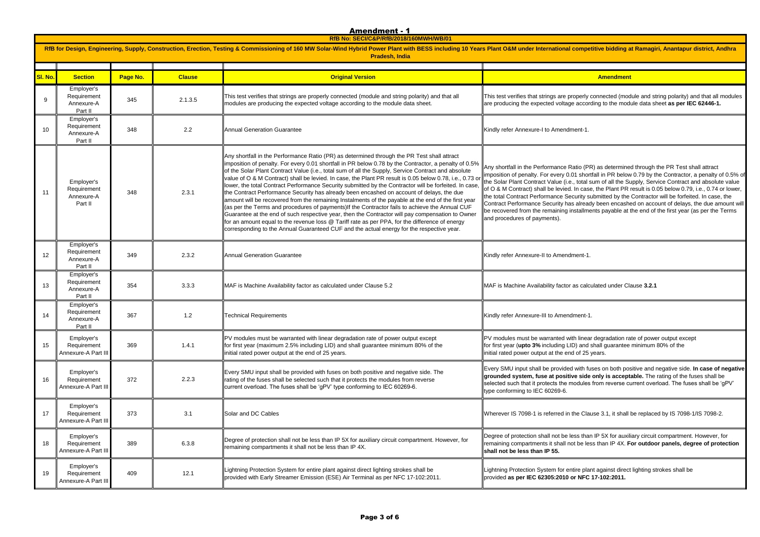<u>Amendment - 1</u>

**RfB No: SECI/C&P/RfB/2018/160MWH/WB/01**

| RfB for Design, Engineering, Supply, Construction, Erection, Testing & Commissioning of 160 MW Solar-Wind Hybrid Power Plant with BESS including 10 Years Plant O&M under International competitive bidding a<br><b>Pradesh, India</b> |                                                    |          |               |                                                                                                                                                                                                                                                                                                                                                                                                                                                                                                                                                                                                                                                                                                                                                                                                                                                                                                                                                                                                                                                                                                                                             |                                                                                                                                                                                                                                                                                                                                                                                                                                                                       |
|----------------------------------------------------------------------------------------------------------------------------------------------------------------------------------------------------------------------------------------|----------------------------------------------------|----------|---------------|---------------------------------------------------------------------------------------------------------------------------------------------------------------------------------------------------------------------------------------------------------------------------------------------------------------------------------------------------------------------------------------------------------------------------------------------------------------------------------------------------------------------------------------------------------------------------------------------------------------------------------------------------------------------------------------------------------------------------------------------------------------------------------------------------------------------------------------------------------------------------------------------------------------------------------------------------------------------------------------------------------------------------------------------------------------------------------------------------------------------------------------------|-----------------------------------------------------------------------------------------------------------------------------------------------------------------------------------------------------------------------------------------------------------------------------------------------------------------------------------------------------------------------------------------------------------------------------------------------------------------------|
| SI. No.                                                                                                                                                                                                                                | <b>Section</b>                                     | Page No. | <b>Clause</b> | <b>Original Version</b>                                                                                                                                                                                                                                                                                                                                                                                                                                                                                                                                                                                                                                                                                                                                                                                                                                                                                                                                                                                                                                                                                                                     | Amendment                                                                                                                                                                                                                                                                                                                                                                                                                                                             |
| 9                                                                                                                                                                                                                                      | Employer's<br>Requirement<br>Annexure-A<br>Part II | 345      | 2.1.3.5       | This test verifies that strings are properly connected (module and string polarity) and that all<br>modules are producing the expected voltage according to the module data sheet.                                                                                                                                                                                                                                                                                                                                                                                                                                                                                                                                                                                                                                                                                                                                                                                                                                                                                                                                                          | This test verifies that strings are properly connected (mod<br>are producing the expected voltage according to the mod                                                                                                                                                                                                                                                                                                                                                |
| 10                                                                                                                                                                                                                                     | Employer's<br>Requirement<br>Annexure-A<br>Part II | 348      | 2.2           | <b>Annual Generation Guarantee</b>                                                                                                                                                                                                                                                                                                                                                                                                                                                                                                                                                                                                                                                                                                                                                                                                                                                                                                                                                                                                                                                                                                          | Kindly refer Annexure-I to Amendment-1.                                                                                                                                                                                                                                                                                                                                                                                                                               |
| 11                                                                                                                                                                                                                                     | Employer's<br>Requirement<br>Annexure-A<br>Part II | 348      | 2.3.1         | Any shortfall in the Performance Ratio (PR) as determined through the PR Test shall attract<br>imposition of penalty. For every 0.01 shortfall in PR below 0.78 by the Contractor, a penalty of 0.5%<br>of the Solar Plant Contract Value (i.e., total sum of all the Supply, Service Contract and absolute<br>value of O & M Contract) shall be levied. In case, the Plant PR result is 0.05 below 0.78, i.e., 0.73 or<br>lower, the total Contract Performance Security submitted by the Contractor will be forfeited. In case,<br>the Contract Performance Security has already been encashed on account of delays, the due<br>amount will be recovered from the remaining Instalments of the payable at the end of the first year<br>(as per the Terms and procedures of payments) If the Contractor fails to achieve the Annual CUF<br>Guarantee at the end of such respective year, then the Contractor will pay compensation to Owner<br>for an amount equal to the revenue loss @ Tariff rate as per PPA, for the difference of energy<br>corresponding to the Annual Guaranteed CUF and the actual energy for the respective year. | Any shortfall in the Performance Ratio (PR) as determine<br>imposition of penalty. For every 0.01 shortfall in PR belov<br>the Solar Plant Contract Value (i.e., total sum of all the Su<br>of O & M Contract) shall be levied. In case, the Plant PR<br>the total Contract Performance Security submitted by the<br>Contract Performance Security has already been encash<br>be recovered from the remaining installments payable at<br>and procedures of payments). |
| 12                                                                                                                                                                                                                                     | Employer's<br>Requirement<br>Annexure-A<br>Part II | 349      | 2.3.2         | <b>Annual Generation Guarantee</b>                                                                                                                                                                                                                                                                                                                                                                                                                                                                                                                                                                                                                                                                                                                                                                                                                                                                                                                                                                                                                                                                                                          | Kindly refer Annexure-II to Amendment-1.                                                                                                                                                                                                                                                                                                                                                                                                                              |
| 13                                                                                                                                                                                                                                     | Employer's<br>Requirement<br>Annexure-A<br>Part II | 354      | 3.3.3         | MAF is Machine Availability factor as calculated under Clause 5.2                                                                                                                                                                                                                                                                                                                                                                                                                                                                                                                                                                                                                                                                                                                                                                                                                                                                                                                                                                                                                                                                           | MAF is Machine Availability factor as calculated under Cla                                                                                                                                                                                                                                                                                                                                                                                                            |
| 14                                                                                                                                                                                                                                     | Employer's<br>Requirement<br>Annexure-A<br>Part II | 367      | 1.2           | <b>Technical Requirements</b>                                                                                                                                                                                                                                                                                                                                                                                                                                                                                                                                                                                                                                                                                                                                                                                                                                                                                                                                                                                                                                                                                                               | Kindly refer Annexure-III to Amendment-1.                                                                                                                                                                                                                                                                                                                                                                                                                             |
| 15                                                                                                                                                                                                                                     | Employer's<br>Requirement<br>Annexure-A Part III   | 369      | 1.4.1         | PV modules must be warranted with linear degradation rate of power output except<br>for first year (maximum 2.5% including LID) and shall guarantee minimum 80% of the<br>initial rated power output at the end of 25 years.                                                                                                                                                                                                                                                                                                                                                                                                                                                                                                                                                                                                                                                                                                                                                                                                                                                                                                                | PV modules must be warranted with linear degradation ra<br>for first year (upto 3% including LID) and shall guarantee<br>initial rated power output at the end of 25 years.                                                                                                                                                                                                                                                                                           |
| 16                                                                                                                                                                                                                                     | Employer's<br>Requirement<br>Annexure-A Part III   | 372      | 2.2.3         | Every SMU input shall be provided with fuses on both positive and negative side. The<br>rating of the fuses shall be selected such that it protects the modules from reverse<br>current overload. The fuses shall be 'gPV' type conforming to IEC 60269-6.                                                                                                                                                                                                                                                                                                                                                                                                                                                                                                                                                                                                                                                                                                                                                                                                                                                                                  | Every SMU input shall be provided with fuses on both pos<br>grounded system, fuse at positive side only is accept<br>selected such that it protects the modules from reverse cr<br>type conforming to IEC 60269-6.                                                                                                                                                                                                                                                    |
| 17                                                                                                                                                                                                                                     | Employer's<br>Requirement<br>Annexure-A Part III   | 373      | 3.1           | Solar and DC Cables                                                                                                                                                                                                                                                                                                                                                                                                                                                                                                                                                                                                                                                                                                                                                                                                                                                                                                                                                                                                                                                                                                                         | Wherever IS 7098-1 is referred in the Clause 3.1, it shall                                                                                                                                                                                                                                                                                                                                                                                                            |
| 18                                                                                                                                                                                                                                     | Employer's<br>Requirement<br>Annexure-A Part III   | 389      | 6.3.8         | Degree of protection shall not be less than IP 5X for auxiliary circuit compartment. However, for<br>remaining compartments it shall not be less than IP 4X.                                                                                                                                                                                                                                                                                                                                                                                                                                                                                                                                                                                                                                                                                                                                                                                                                                                                                                                                                                                | Degree of protection shall not be less than IP 5X for auxil<br>remaining compartments it shall not be less than IP 4X. F<br>shall not be less than IP 55.                                                                                                                                                                                                                                                                                                             |
| 19                                                                                                                                                                                                                                     | Employer's<br>Requirement<br>Annexure-A Part III   | 409      | 12.1          | Lightning Protection System for entire plant against direct lighting strokes shall be<br>provided with Early Streamer Emission (ESE) Air Terminal as per NFC 17-102:2011.                                                                                                                                                                                                                                                                                                                                                                                                                                                                                                                                                                                                                                                                                                                                                                                                                                                                                                                                                                   | Lightning Protection System for entire plant against direct<br>provided as per IEC 62305:2010 or NFC 17-102:2011.                                                                                                                                                                                                                                                                                                                                                     |

ire plant against direct lighting strokes shall be provided **as per IEC 62305:2010 or NFC 17-102:2011.**

competitive bidding at Ramagiri, Anantapur district, Andhra

operly connected (module and string polarity) and that all modules according to the module data sheet as per IEC 62446-1.

atio (PR) as determined through the PR Test shall attract shortfall in PR below 0.79 by the Contractor, a penalty of 0.5% of total sum of all the Supply, Service Contract and absolute value In case, the Plant PR result is 0.05 below 0.79, i.e., 0.74 or lower, turity submitted by the Contractor will be forfeited. In case, the calready been encashed on account of delays, the due amount will stallments payable at the end of the first year (as per the Terms

as calculated under Clause 3.2.1

linear degradation rate of power output except for first of shall guarantee minimum 80% of the i of 25 years.

with fuses on both positive and negative side. In case of negative **ge side only is acceptable.** The rating of the fuses shall be odules from reverse current overload. The fuses shall be 'gPV'

he Clause 3.1, it shall be replaced by IS 7098-1/IS 7098-2.

ss than IP 5X for auxiliary circuit compartment. However, for t be less than IP 4X. For outdoor panels, degree of protection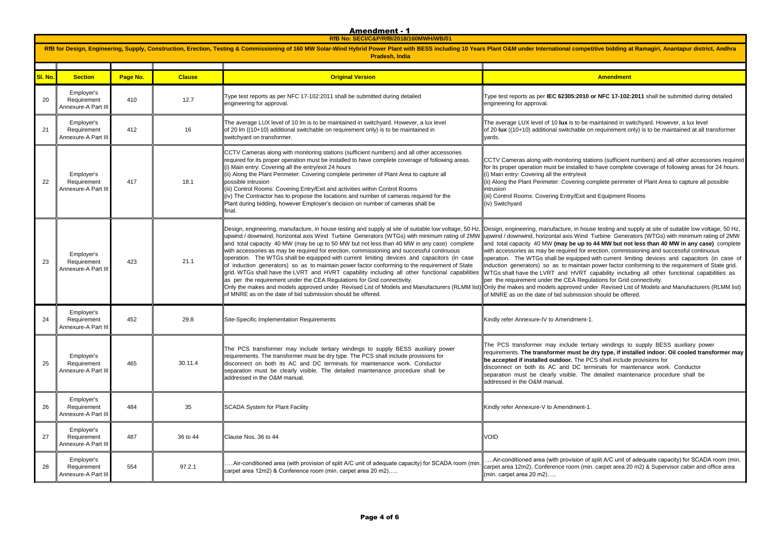**RfB No: SECI/C&P/RfB/2018/160MWH/WB/01**

| RfB for Design, Engineering, Supply, Construction, Erection, Testing & Commissioning of 160 MW Solar-Wind Hybrid Power Plant with BESS including 10 Years Plant O&M under International competitive bidding a<br>Pradesh, India |                                                  |          |               |                                                                                                                                                                                                                                                                                                                                                                                                                                                                                                                                                                                                                                                                                                                                                                                                                                                                                                                                                                                                                                                                                                                      |                                                                                                                                                                                                                                                                                                                                                                                                                  |
|---------------------------------------------------------------------------------------------------------------------------------------------------------------------------------------------------------------------------------|--------------------------------------------------|----------|---------------|----------------------------------------------------------------------------------------------------------------------------------------------------------------------------------------------------------------------------------------------------------------------------------------------------------------------------------------------------------------------------------------------------------------------------------------------------------------------------------------------------------------------------------------------------------------------------------------------------------------------------------------------------------------------------------------------------------------------------------------------------------------------------------------------------------------------------------------------------------------------------------------------------------------------------------------------------------------------------------------------------------------------------------------------------------------------------------------------------------------------|------------------------------------------------------------------------------------------------------------------------------------------------------------------------------------------------------------------------------------------------------------------------------------------------------------------------------------------------------------------------------------------------------------------|
| SI. No.                                                                                                                                                                                                                         | <b>Section</b>                                   | Page No. | <b>Clause</b> | <b>Original Version</b>                                                                                                                                                                                                                                                                                                                                                                                                                                                                                                                                                                                                                                                                                                                                                                                                                                                                                                                                                                                                                                                                                              | <b>Amendment</b>                                                                                                                                                                                                                                                                                                                                                                                                 |
| 20                                                                                                                                                                                                                              | Employer's<br>Requirement<br>Annexure-A Part III | 410      | 12.7          | Type test reports as per NFC 17-102:2011 shall be submitted during detailed<br>engineering for approval.                                                                                                                                                                                                                                                                                                                                                                                                                                                                                                                                                                                                                                                                                                                                                                                                                                                                                                                                                                                                             | Type test reports as per IEC 62305:2010 or NFC 17-102:<br>engineering for approval.                                                                                                                                                                                                                                                                                                                              |
| 21                                                                                                                                                                                                                              | Employer's<br>Requirement<br>Annexure-A Part III | 412      | 16            | The average LUX level of 10 lm is to be maintained in switchyard. However, a lux level<br>of 20 lm ((10+10) additional switchable on requirement only) is to be maintained in<br>switchyard on transformer.                                                                                                                                                                                                                                                                                                                                                                                                                                                                                                                                                                                                                                                                                                                                                                                                                                                                                                          | The average LUX level of 10 lux is to be maintained in sv<br>of 20 lux ((10+10) additional switchable on requirement of<br>yards.                                                                                                                                                                                                                                                                                |
| 22                                                                                                                                                                                                                              | Employer's<br>Requirement<br>Annexure-A Part III | 417      | 18.1          | CCTV Cameras along with monitoring stations (sufficient numbers) and all other accessories<br>required for its proper operation must be installed to have complete coverage of following areas.<br>(i) Main entry: Covering all the entry/exit 24 hours<br>(ii) Along the Plant Perimeter: Covering complete perimeter of Plant Area to capture all<br>possible intrusion<br>(iii) Control Rooms: Covering Entry/Exit and activities within Control Rooms<br>(iv) The Contractor has to propose the locations and number of cameras required for the<br>Plant during bidding, however Employer's decision on number of cameras shall be<br>final.                                                                                                                                                                                                                                                                                                                                                                                                                                                                    | CCTV Cameras along with monitoring stations (sufficient<br>for its proper operation must be installed to have complet<br>(i) Main entry: Covering all the entry/exit<br>(ii) Along the Plant Perimeter: Covering complete perimet<br>intrusion<br>(iii) Control Rooms: Covering Entry/Exit and Equipment R<br>(iv) Switchyard                                                                                    |
| 23                                                                                                                                                                                                                              | Employer's<br>Requirement<br>Annexure-A Part III | 423      | 21.1          | Design, engineering, manufacture, in house testing and supply at site of suitable low voltage, 50 Hz, Design, engineering, manufacture, in house testing and s<br>upwind / downwind, horizontal axis Wind Turbine Generators (WTGs) with minimum rating of 2MW  upwind / downwind, horizontal axis Wind Turbine Gener<br>and total capacity 40 MW (may be up to 50 MW but not less than 40 MW in any case) complete<br>with accessories as may be required for erection, commissioning and successful continuous<br>operation. The WTGs shall be equipped with current limiting devices and capacitors (in case<br>of induction generators) so as to maintain power factor conforming to the requirement of State<br>grid. WTGs shall have the LVRT and HVRT capability including all other functional capabilities<br>as per the requirement under the CEA Regulations for Grid connectivity.<br>Only the makes and models approved under Revised List of Models and Manufacturers (RLMM list) Only the makes and models approved under Revised List<br>of MNRE as on the date of bid submission should be offered. | and total capacity 40 MW (may be up to 44 MW but no<br>with accessories as may be required for erection, commis<br>operation. The WTGs shall be equipped with current lin<br>induction generators) so as to maintain power factor co<br>WTGs shall have the LVRT and HVRT capability inclue<br>per the requirement under the CEA Regulations for Grid<br>of MNRE as on the date of bid submission should be offe |
| 24                                                                                                                                                                                                                              | Employer's<br>Requirement<br>Annexure-A Part III | 452      | 29.8          | Site-Specific Implementation Requirements                                                                                                                                                                                                                                                                                                                                                                                                                                                                                                                                                                                                                                                                                                                                                                                                                                                                                                                                                                                                                                                                            | Kindly refer Annexure-IV to Amendment-1.                                                                                                                                                                                                                                                                                                                                                                         |
| 25                                                                                                                                                                                                                              | Employer's<br>Requirement<br>Annexure-A Part III | 465      | 30.11.4       | The PCS transformer may include tertiary windings to supply BESS auxiliary power<br>requirements. The transformer must be dry type. The PCS shall include provisions for<br>disconnect on both its AC and DC terminals for maintenance work. Conductor<br>separation must be clearly visible. The detailed maintenance procedure shall be<br>addressed in the O&M manual.                                                                                                                                                                                                                                                                                                                                                                                                                                                                                                                                                                                                                                                                                                                                            | The PCS transformer may include tertiary windings to<br>requirements. The transformer must be dry type, if ins<br>be accepted if installed outdoor. The PCS shall include<br>disconnect on both its AC and DC terminals for mai<br>separation must be clearly visible. The detailed main<br>addressed in the O&M manual.                                                                                         |
| 26                                                                                                                                                                                                                              | Employer's<br>Requirement<br>Annexure-A Part III | 484      | 35            | SCADA System for Plant Facility                                                                                                                                                                                                                                                                                                                                                                                                                                                                                                                                                                                                                                                                                                                                                                                                                                                                                                                                                                                                                                                                                      | Kindly refer Annexure-V to Amendment-1.                                                                                                                                                                                                                                                                                                                                                                          |
| 27                                                                                                                                                                                                                              | Employer's<br>Requirement<br>Annexure-A Part III | 487      | 36 to 44      | Clause Nos. 36 to 44                                                                                                                                                                                                                                                                                                                                                                                                                                                                                                                                                                                                                                                                                                                                                                                                                                                                                                                                                                                                                                                                                                 | VOID                                                                                                                                                                                                                                                                                                                                                                                                             |
| 28                                                                                                                                                                                                                              | Employer's<br>Requirement<br>Annexure-A Part III | 554      | 97.2.1        | Air-conditioned area (with provision of split A/C unit of adequate capacity) for SCADA room (min<br>carpet area 12m2) & Conference room (min. carpet area 20 m2)                                                                                                                                                                                                                                                                                                                                                                                                                                                                                                                                                                                                                                                                                                                                                                                                                                                                                                                                                     | Air-conditioned area (with provision of split A/C unit of<br>carpet area 12m2), Conference room (min. carpet area 2<br>(min. carpet area 20 m2)                                                                                                                                                                                                                                                                  |

competitive bidding at Ramagiri, Anantapur district, Andhra

:2010 or NFC 17-102:2011 shall be submitted during detailed

to be maintained in switchyard. However, a lux level able on requirement only) is to be maintained at all transformer

ing stations (sufficient numbers) and all other accessories required talled to have complete coverage of following areas for 24 hours. y/exit

ering complete perimeter of Plant Area to capture all possible

**Exit and Equipment Rooms** 

in house testing and supply at site of suitable low voltage, 50 Hz, Wind Turbine Generators (WTGs) with minimum rating of 2MW **up to 44 MW but not less than 40 MW in any case)** complete ed for erection, commissioning and successful continuous uipped with current limiting devices and capacitors (in case of aintain power factor conforming to the requirement of State grid. IVRT capability including all other functional capabilities as Regulations for Grid connectivity.

ved under Revised List of Models and Manufacturers (RLMM list) mission should be offered.

Ie tertiary windings to supply BESS auxiliary power ust be dry type, if installed indoor. Oil cooled transformer may The PCS shall include provisions for DC terminals for maintenance work. Conductor e. The detailed maintenance procedure shall be

sion of split A/C unit of adequate capacity) for SCADA room (min. om (min. carpet area 20 m2) & Supervisor cabin and office area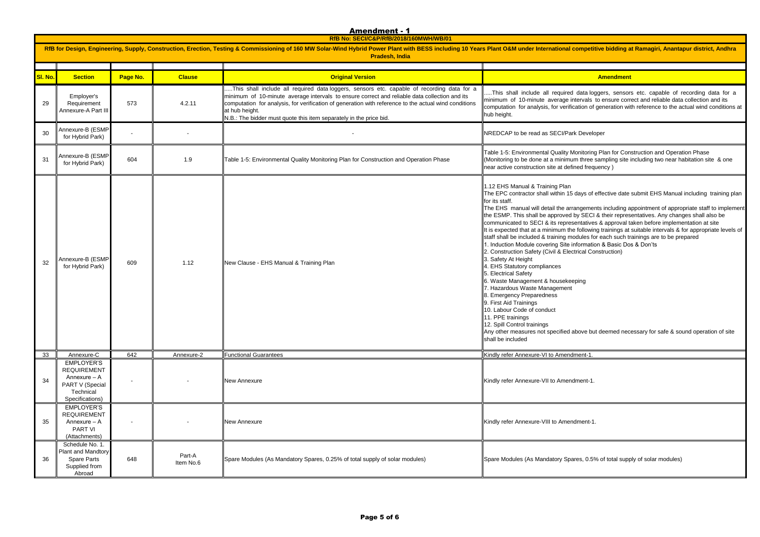**RfB No: SECI/C&P/RfB/2018/160MWH/WB/01**

|         | RfB for Design, Engineering, Supply, Construction, Erection, Testing & Commissioning of 160 MW Solar-Wind Hybrid Power Plant with BESS including 10 Years Plant O&M under International competitive bidding a<br><b>Pradesh, India</b> |          |                     |                                                                                                                                                                                                                                                                                                                                                                                              |                                                                                                                                                                                                                                                                                                                                                                                                                                                                                                                                                                                                                                                                                                                                                                                                                                                                                                                                    |  |  |
|---------|----------------------------------------------------------------------------------------------------------------------------------------------------------------------------------------------------------------------------------------|----------|---------------------|----------------------------------------------------------------------------------------------------------------------------------------------------------------------------------------------------------------------------------------------------------------------------------------------------------------------------------------------------------------------------------------------|------------------------------------------------------------------------------------------------------------------------------------------------------------------------------------------------------------------------------------------------------------------------------------------------------------------------------------------------------------------------------------------------------------------------------------------------------------------------------------------------------------------------------------------------------------------------------------------------------------------------------------------------------------------------------------------------------------------------------------------------------------------------------------------------------------------------------------------------------------------------------------------------------------------------------------|--|--|
| SI. No. | <b>Section</b>                                                                                                                                                                                                                         | Page No. | <b>Clause</b>       | <b>Original Version</b>                                                                                                                                                                                                                                                                                                                                                                      | Amendment                                                                                                                                                                                                                                                                                                                                                                                                                                                                                                                                                                                                                                                                                                                                                                                                                                                                                                                          |  |  |
| 29      | Employer's<br>Requirement<br>Annexure-A Part III                                                                                                                                                                                       | 573      | 4.2.11              | This shall include all required data loggers, sensors etc. capable of recording data for a<br>minimum of 10-minute average intervals to ensure correct and reliable data collection and its<br>computation for analysis, for verification of generation with reference to the actual wind conditions<br>at hub height.<br>N.B.: The bidder must quote this item separately in the price bid. | This shall include all required data loggers, sensor<br>minimum of 10-minute average intervals to ensure corr<br>computation for analysis, for verification of generation wi<br>hub height.                                                                                                                                                                                                                                                                                                                                                                                                                                                                                                                                                                                                                                                                                                                                        |  |  |
| 30      | Annexure-B (ESMP<br>for Hybrid Park)                                                                                                                                                                                                   |          |                     |                                                                                                                                                                                                                                                                                                                                                                                              | NREDCAP to be read as SECI/Park Developer                                                                                                                                                                                                                                                                                                                                                                                                                                                                                                                                                                                                                                                                                                                                                                                                                                                                                          |  |  |
| 31      | Annexure-B (ESMP<br>for Hybrid Park)                                                                                                                                                                                                   | 604      | 1.9                 | Table 1-5: Environmental Quality Monitoring Plan for Construction and Operation Phase                                                                                                                                                                                                                                                                                                        | Table 1-5: Environmental Quality Monitoring Plan for Con<br>(Monitoring to be done at a minimum three sampling site<br>near active construction site at defined frequency)                                                                                                                                                                                                                                                                                                                                                                                                                                                                                                                                                                                                                                                                                                                                                         |  |  |
| 32      | Annexure-B (ESMP<br>for Hybrid Park)                                                                                                                                                                                                   | 609      | 1.12                | New Clause - EHS Manual & Training Plan                                                                                                                                                                                                                                                                                                                                                      | 1.12 EHS Manual & Training Plan<br>The EPC contractor shall within 15 days of effective date<br>for its staff.<br>The EHS manual will detail the arrangements including a<br>the ESMP. This shall be approved by SECI & their repres<br>communicated to SECI & its representatives & approval t<br>It is expected that at a minimum the following trainings at<br>staff shall be included & training modules for each such tr<br>1. Induction Module covering Site information & Basic Do<br>2. Construction Safety (Civil & Electrical Construction)<br>3. Safety At Height<br>4. EHS Statutory compliances<br>5. Electrical Safety<br>6. Waste Management & housekeeping<br>7. Hazardous Waste Management<br>8. Emergency Preparedness<br>9. First Aid Trainings<br>10. Labour Code of conduct<br>11. PPE trainings<br>12. Spill Control trainings<br>Any other measures not specified above but deemed nec<br>shall be included |  |  |
| 33      | Annexure-C                                                                                                                                                                                                                             | 642      | Annexure-2          | <b>Functional Guarantees</b>                                                                                                                                                                                                                                                                                                                                                                 | Kindly refer Annexure-VI to Amendment-1.                                                                                                                                                                                                                                                                                                                                                                                                                                                                                                                                                                                                                                                                                                                                                                                                                                                                                           |  |  |
| 34      | <b>EMPLOYER'S</b><br><b>REQUIREMENT</b><br>Annexure - A<br>PART V (Special<br>Technical<br>Specifications)                                                                                                                             |          |                     | New Annexure                                                                                                                                                                                                                                                                                                                                                                                 | Kindly refer Annexure-VII to Amendment-1.                                                                                                                                                                                                                                                                                                                                                                                                                                                                                                                                                                                                                                                                                                                                                                                                                                                                                          |  |  |
| 35      | EMPLOYER'S<br><b>REQUIREMENT</b><br>Annexure - A<br><b>PART VI</b><br>(Attachments)                                                                                                                                                    |          |                     | <b>New Annexure</b>                                                                                                                                                                                                                                                                                                                                                                          | Kindly refer Annexure-VIII to Amendment-1.                                                                                                                                                                                                                                                                                                                                                                                                                                                                                                                                                                                                                                                                                                                                                                                                                                                                                         |  |  |
| 36      | Schedule No. 1.<br>Plant and Mandtory<br><b>Spare Parts</b><br>Supplied from<br>Abroad                                                                                                                                                 | 648      | Part-A<br>Item No.6 | Spare Modules (As Mandatory Spares, 0.25% of total supply of solar modules)                                                                                                                                                                                                                                                                                                                  | Spare Modules (As Mandatory Spares, 0.5% of total supp                                                                                                                                                                                                                                                                                                                                                                                                                                                                                                                                                                                                                                                                                                                                                                                                                                                                             |  |  |

ompetitive bidding at Ramagiri, Anantapur district, Andhra

data loggers, sensors etc. capable of recording data for a ntervals to ensure correct and reliable data collection and its cation of generation with reference to the actual wind conditions at

Ionitoring Plan for Construction and Operation Phase m three sampling site including two near habitation site & one ned frequency)

days of effective date submit EHS Manual including training plan

angements including appointment of appropriate staff to implement by SECI & their representatives. Any changes shall also be entatives & approval taken before implementation at site It following trainings at suitable intervals & for appropriate levels of odules for each such trainings are to be prepared .<br>Information & Basic Dos & Don'ts trical Construction)

bove but deemed necessary for safe & sound operation of site

Ites, 0.5% of total supply of solar modules)